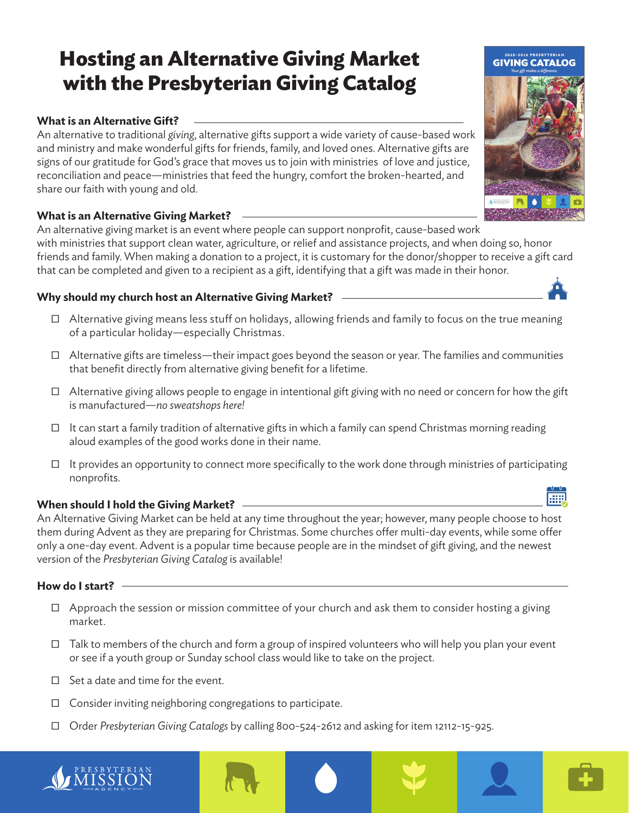# **Hosting an Alternative Giving Market with the Presbyterian Giving Catalog**

# **What is an Alternative Gift?**

An alternative to traditional *giving*, alternative gifts support a wide variety of cause-based work and ministry and make wonderful gifts for friends, family, and loved ones. Alternative gifts are signs of our gratitude for God's grace that moves us to join with ministries of love and justice, reconciliation and peace—ministries that feed the hungry, comfort the broken-hearted, and share our faith with young and old.

# **What is an Alternative Giving Market?**

An alternative giving market is an event where people can support nonprofit, cause-based work with ministries that support clean water, agriculture, or relief and assistance projects, and when doing so, honor friends and family. When making a donation to a project, it is customary for the donor/shopper to receive a gift card that can be completed and given to a recipient as a gift, identifying that a gift was made in their honor.

# **Why should my church host an Alternative Giving Market?**

- Ƀ Alternative giving means less stuff on holidays, allowing friends and family to focus on the true meaning of a particular holiday—especially Christmas.
- $\Box$  Alternative gifts are timeless—their impact goes beyond the season or year. The families and communities that benefit directly from alternative giving benefit for a lifetime.
- $\Box$  Alternative giving allows people to engage in intentional gift giving with no need or concern for how the gift is manufactured—*no sweatshops here!*
- $\Box$  It can start a family tradition of alternative gifts in which a family can spend Christmas morning reading aloud examples of the good works done in their name.
- $\Box$  It provides an opportunity to connect more specifically to the work done through ministries of participating nonprofits.

## **When should I hold the Giving Market?**

An Alternative Giving Market can be held at any time throughout the year; however, many people choose to host them during Advent as they are preparing for Christmas. Some churches offer multi-day events, while some offer only a one-day event. Advent is a popular time because people are in the mindset of gift giving, and the newest version of the *Presbyterian Giving Catalog* is available!

## **How do I start?**

- $\Box$  Approach the session or mission committee of your church and ask them to consider hosting a giving market.
- $\Box$  Talk to members of the church and form a group of inspired volunteers who will help you plan your event or see if a youth group or Sunday school class would like to take on the project.
- $\Box$  Set a date and time for the event.
- $\Box$  Consider inviting neighboring congregations to participate.
- Ƀ Order *Presbyterian Giving Catalogs* by calling 800-524-2612 and asking for item 12112-15-925.